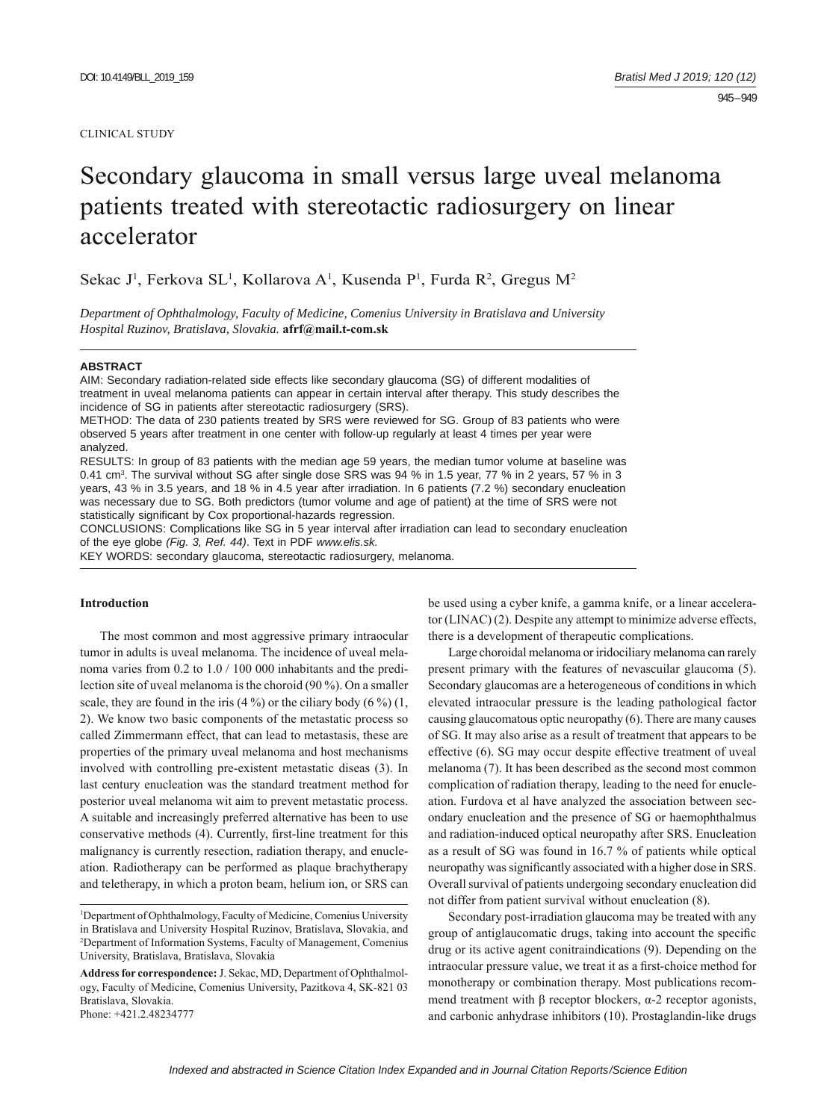#### CLINICAL STUDY

# Secondary glaucoma in small versus large uveal melanoma patients treated with stereotactic radiosurgery on linear accelerator

Sekac J<sup>1</sup>, Ferkova SL<sup>1</sup>, Kollarova A<sup>1</sup>, Kusenda P<sup>1</sup>, Furda R<sup>2</sup>, Gregus M<sup>2</sup>

*Department of Ophthalmology, Faculty of Medicine, Comenius University in Bratislava and University Hospital Ruzinov, Bratislava, Slovakia.* **afrf@mail.t-com.sk**

## **ABSTRACT**

AIM: Secondary radiation-related side effects like secondary glaucoma (SG) of different modalities of treatment in uveal melanoma patients can appear in certain interval after therapy. This study describes the incidence of SG in patients after stereotactic radiosurgery (SRS).

METHOD: The data of 230 patients treated by SRS were reviewed for SG. Group of 83 patients who were observed 5 years after treatment in one center with follow-up regularly at least 4 times per year were analyzed.

RESULTS: In group of 83 patients with the median age 59 years, the median tumor volume at baseline was 0.41 cm<sup>3</sup>. The survival without SG after single dose SRS was 94 % in 1.5 year, 77 % in 2 years, 57 % in 3 years, 43 % in 3.5 years, and 18 % in 4.5 year after irradiation. In 6 patients (7.2 %) secondary enucleation was necessary due to SG. Both predictors (tumor volume and age of patient) at the time of SRS were not statistically significant by Cox proportional-hazards regression.

CONCLUSIONS: Complications like SG in 5 year interval after irradiation can lead to secondary enucleation of the eye globe *(Fig. 3, Ref. 44)*. Text in PDF *www.elis.sk.*

KEY WORDS: secondary glaucoma, stereotactic radiosurgery, melanoma.

## **Introduction**

The most common and most aggressive primary intraocular tumor in adults is uveal melanoma. The incidence of uveal melanoma varies from 0.2 to 1.0 / 100 000 inhabitants and the predilection site of uveal melanoma is the choroid (90 %). On a smaller scale, they are found in the iris  $(4\%)$  or the ciliary body  $(6\%)$   $(1, 1)$ 2). We know two basic components of the metastatic process so called Zimmermann effect, that can lead to metastasis, these are properties of the primary uveal melanoma and host mechanisms involved with controlling pre-existent metastatic diseas (3). In last century enucleation was the standard treatment method for posterior uveal melanoma wit aim to prevent metastatic process. A suitable and increasingly preferred alternative has been to use conservative methods (4). Currently, first-line treatment for this malignancy is currently resection, radiation therapy, and enucleation. Radiotherapy can be performed as plaque brachytherapy and teletherapy, in which a proton beam, helium ion, or SRS can

Phone: +421.2.48234777

be used using a cyber knife, a gamma knife, or a linear accelerator (LINAC) (2). Despite any attempt to minimize adverse effects, there is a development of therapeutic complications.

Large choroidal melanoma or iridociliary melanoma can rarely present primary with the features of nevascuilar glaucoma (5). Secondary glaucomas are a heterogeneous of conditions in which elevated intraocular pressure is the leading pathological factor causing glaucomatous optic neuropathy (6). There are many causes of SG. It may also arise as a result of treatment that appears to be effective (6). SG may occur despite effective treatment of uveal melanoma (7). It has been described as the second most common complication of radiation therapy, leading to the need for enucleation. Furdova et al have analyzed the association between secondary enucleation and the presence of SG or haemophthalmus and radiation-induced optical neuropathy after SRS. Enucleation as a result of SG was found in 16.7 % of patients while optical neuropathy was significantly associated with a higher dose in SRS. Overall survival of patients undergoing secondary enucleation did not differ from patient survival without enucleation (8).

Secondary post-irradiation glaucoma may be treated with any group of antiglaucomatic drugs, taking into account the specific drug or its active agent conitraindications (9). Depending on the intraocular pressure value, we treat it as a first-choice method for monotherapy or combination therapy. Most publications recommend treatment with  $\beta$  receptor blockers,  $\alpha$ -2 receptor agonists, and carbonic anhydrase inhibitors (10). Prostaglandin-like drugs

<sup>1</sup> Department of Ophthalmology, Faculty of Medicine, Comenius University in Bratislava and University Hospital Ruzinov, Bratislava, Slovakia, and 2 Department of Information Systems, Faculty of Management, Comenius University, Bratislava, Bratislava, Slovakia

**Address for correspondence:** J. Sekac, MD, Department of Ophthalmology, Faculty of Medicine, Comenius University, Pazitkova 4, SK-821 03 Bratislava, Slovakia.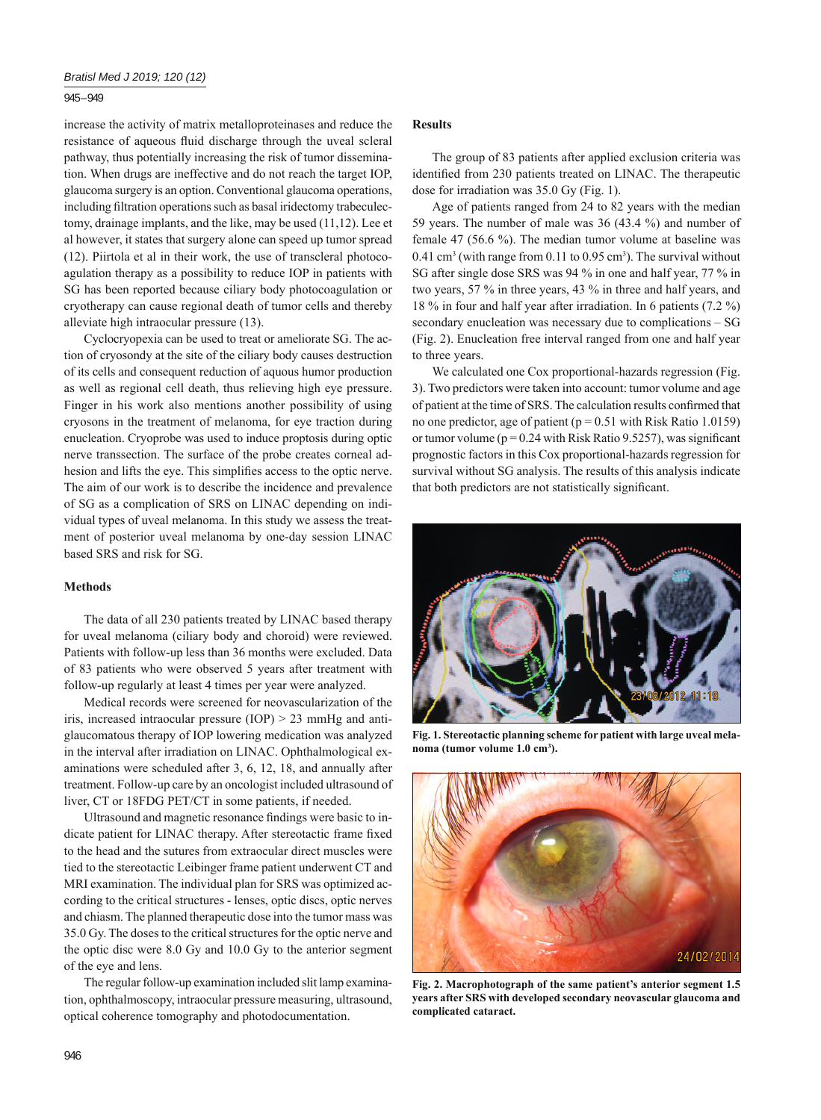## 945 – 949

increase the activity of matrix metalloproteinases and reduce the resistance of aqueous fluid discharge through the uveal scleral pathway, thus potentially increasing the risk of tumor dissemination. When drugs are ineffective and do not reach the target IOP, glaucoma surgery is an option. Conventional glaucoma operations, including filtration operations such as basal iridectomy trabeculectomy, drainage implants, and the like, may be used (11,12). Lee et al however, it states that surgery alone can speed up tumor spread (12). Piirtola et al in their work, the use of transcleral photocoagulation therapy as a possibility to reduce IOP in patients with SG has been reported because ciliary body photocoagulation or cryotherapy can cause regional death of tumor cells and thereby alleviate high intraocular pressure (13).

Cyclocryopexia can be used to treat or ameliorate SG. The action of cryosondy at the site of the ciliary body causes destruction of its cells and consequent reduction of aquous humor production as well as regional cell death, thus relieving high eye pressure. Finger in his work also mentions another possibility of using cryosons in the treatment of melanoma, for eye traction during enucleation. Cryoprobe was used to induce proptosis during optic nerve transsection. The surface of the probe creates corneal adhesion and lifts the eye. This simplifies access to the optic nerve. The aim of our work is to describe the incidence and prevalence of SG as a complication of SRS on LINAC depending on individual types of uveal melanoma. In this study we assess the treatment of posterior uveal melanoma by one-day session LINAC based SRS and risk for SG.

## **Methods**

The data of all 230 patients treated by LINAC based therapy for uveal melanoma (ciliary body and choroid) were reviewed. Patients with follow-up less than 36 months were excluded. Data of 83 patients who were observed 5 years after treatment with follow-up regularly at least 4 times per year were analyzed.

Medical records were screened for neovascularization of the iris, increased intraocular pressure (IOP) > 23 mmHg and antiglaucomatous therapy of IOP lowering medication was analyzed in the interval after irradiation on LINAC. Ophthalmological examinations were scheduled after 3, 6, 12, 18, and annually after treatment. Follow-up care by an oncologist included ultrasound of liver, CT or 18FDG PET/CT in some patients, if needed.

Ultrasound and magnetic resonance findings were basic to indicate patient for LINAC therapy. After stereotactic frame fixed to the head and the sutures from extraocular direct muscles were tied to the stereotactic Leibinger frame patient underwent CT and MRI examination. The individual plan for SRS was optimized according to the critical structures - lenses, optic discs, optic nerves and chiasm. The planned therapeutic dose into the tumor mass was 35.0 Gy. The doses to the critical structures for the optic nerve and the optic disc were 8.0 Gy and 10.0 Gy to the anterior segment of the eye and lens.

The regular follow-up examination included slit lamp examination, ophthalmoscopy, intraocular pressure measuring, ultrasound, optical coherence tomography and photodocumentation.

# **Results**

The group of 83 patients after applied exclusion criteria was identified from 230 patients treated on LINAC. The therapeutic dose for irradiation was 35.0 Gy (Fig. 1).

Age of patients ranged from 24 to 82 years with the median 59 years. The number of male was 36 (43.4 %) and number of female 47 (56.6 %). The median tumor volume at baseline was  $0.41 \text{ cm}^3$  (with range from 0.11 to 0.95 cm<sup>3</sup>). The survival without SG after single dose SRS was 94 % in one and half year, 77 % in two years, 57 % in three years, 43 % in three and half years, and 18 % in four and half year after irradiation. In 6 patients (7.2 %) secondary enucleation was necessary due to complications – SG (Fig. 2). Enucleation free interval ranged from one and half year to three years.

We calculated one Cox proportional-hazards regression (Fig. 3). Two predictors were taken into account: tumor volume and age of patient at the time of SRS. The calculation results confirmed that no one predictor, age of patient ( $p = 0.51$  with Risk Ratio 1.0159) or tumor volume ( $p = 0.24$  with Risk Ratio 9.5257), was significant prognostic factors in this Cox proportional-hazards regression for survival without SG analysis. The results of this analysis indicate that both predictors are not statistically significant.



**Fig. 1. Stereotactic planning scheme for patient with large uveal melanoma (tumor volume 1.0 cm3 ).**



**Fig. 2. Macrophotograph of the same patient's anterior segment 1.5 years after SRS with developed secondary neovascular glaucoma and complicated cataract.**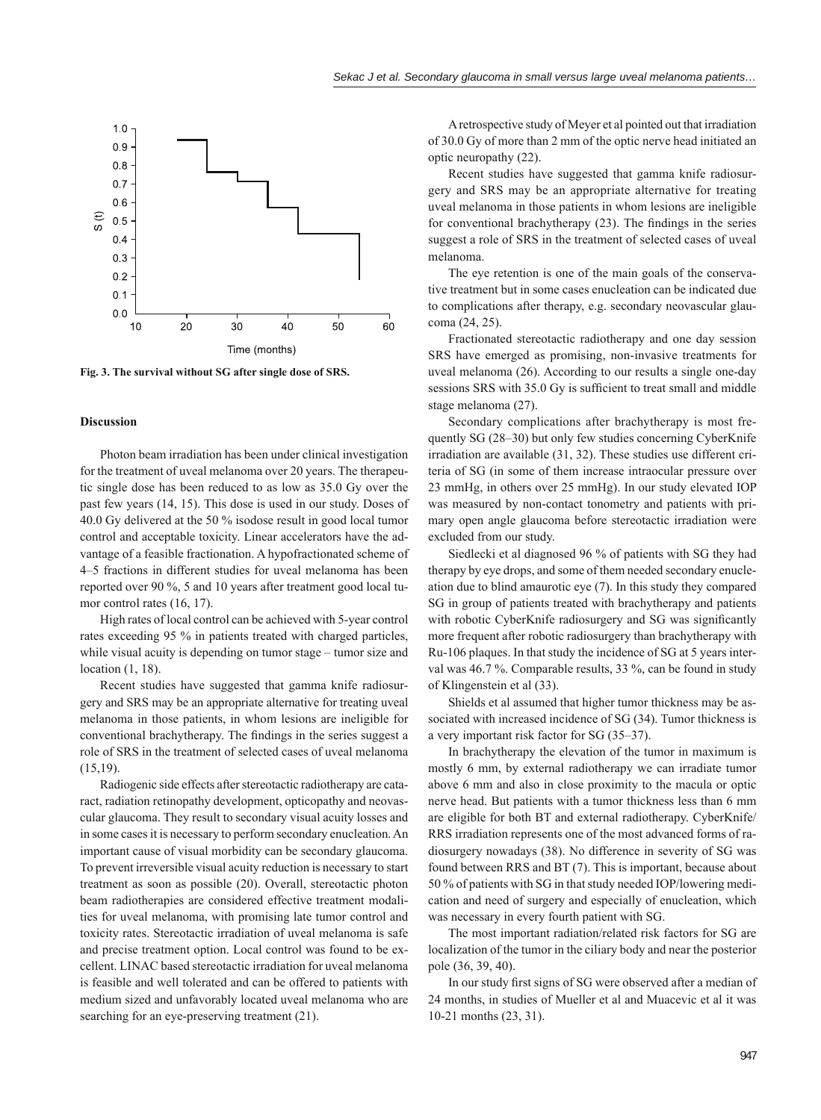

**Fig. 3. The survival without SG after single dose of SRS.**

## **Discussion**

Photon beam irradiation has been under clinical investigation for the treatment of uveal melanoma over 20 years. The therapeutic single dose has been reduced to as low as 35.0 Gy over the past few years (14, 15). This dose is used in our study. Doses of 40.0 Gy delivered at the 50 % isodose result in good local tumor control and acceptable toxicity. Linear accelerators have the advantage of a feasible fractionation. A hypofractionated scheme of 4–5 fractions in different studies for uveal melanoma has been reported over 90 %, 5 and 10 years after treatment good local tumor control rates (16, 17).

High rates of local control can be achieved with 5-year control rates exceeding 95 % in patients treated with charged particles, while visual acuity is depending on tumor stage – tumor size and location (1, 18).

Recent studies have suggested that gamma knife radiosurgery and SRS may be an appropriate alternative for treating uveal melanoma in those patients, in whom lesions are ineligible for conventional brachytherapy. The findings in the series suggest a role of SRS in the treatment of selected cases of uveal melanoma (15,19).

Radiogenic side effects after stereotactic radiotherapy are cataract, radiation retinopathy development, opticopathy and neovascular glaucoma. They result to secondary visual acuity losses and in some cases it is necessary to perform secondary enucleation. An important cause of visual morbidity can be secondary glaucoma. To prevent irreversible visual acuity reduction is necessary to start treatment as soon as possible (20). Overall, stereotactic photon beam radiotherapies are considered effective treatment modalities for uveal melanoma, with promising late tumor control and toxicity rates. Stereotactic irradiation of uveal melanoma is safe and precise treatment option. Local control was found to be excellent. LINAC based stereotactic irradiation for uveal melanoma is feasible and well tolerated and can be offered to patients with medium sized and unfavorably located uveal melanoma who are searching for an eye-preserving treatment (21).

A retrospective study of Meyer et al pointed out that irradiation of 30.0 Gy of more than 2 mm of the optic nerve head initiated an optic neuropathy (22).

Recent studies have suggested that gamma knife radiosurgery and SRS may be an appropriate alternative for treating uveal melanoma in those patients in whom lesions are ineligible for conventional brachytherapy  $(23)$ . The findings in the series suggest a role of SRS in the treatment of selected cases of uveal melanoma.

The eye retention is one of the main goals of the conservative treatment but in some cases enucleation can be indicated due to complications after therapy, e.g. secondary neovascular glaucoma (24, 25).

Fractionated stereotactic radiotherapy and one day session SRS have emerged as promising, non-invasive treatments for uveal melanoma (26). According to our results a single one-day sessions SRS with 35.0 Gy is sufficient to treat small and middle stage melanoma (27).

Secondary complications after brachytherapy is most frequently SG (28–30) but only few studies concerning CyberKnife irradiation are available (31, 32). These studies use different criteria of SG (in some of them increase intraocular pressure over 23 mmHg, in others over 25 mmHg). In our study elevated IOP was measured by non-contact tonometry and patients with primary open angle glaucoma before stereotactic irradiation were excluded from our study.

Siedlecki et al diagnosed 96 % of patients with SG they had therapy by eye drops, and some of them needed secondary enucleation due to blind amaurotic eye (7). In this study they compared SG in group of patients treated with brachytherapy and patients with robotic CyberKnife radiosurgery and SG was significantly more frequent after robotic radiosurgery than brachytherapy with Ru-106 plaques. In that study the incidence of SG at 5 years interval was 46.7 %. Comparable results, 33 %, can be found in study of Klingenstein et al (33).

Shields et al assumed that higher tumor thickness may be associated with increased incidence of SG (34). Tumor thickness is a very important risk factor for SG (35–37).

In brachytherapy the elevation of the tumor in maximum is mostly 6 mm, by external radiotherapy we can irradiate tumor above 6 mm and also in close proximity to the macula or optic nerve head. But patients with a tumor thickness less than 6 mm are eligible for both BT and external radiotherapy. CyberKnife/ RRS irradiation represents one of the most advanced forms of radiosurgery nowadays (38). No difference in severity of SG was found between RRS and BT (7). This is important, because about 50 % of patients with SG in that study needed IOP/lowering medication and need of surgery and especially of enucleation, which was necessary in every fourth patient with SG.

The most important radiation/related risk factors for SG are localization of the tumor in the ciliary body and near the posterior pole (36, 39, 40).

In our study first signs of SG were observed after a median of 24 months, in studies of Mueller et al and Muacevic et al it was 10-21 months (23, 31).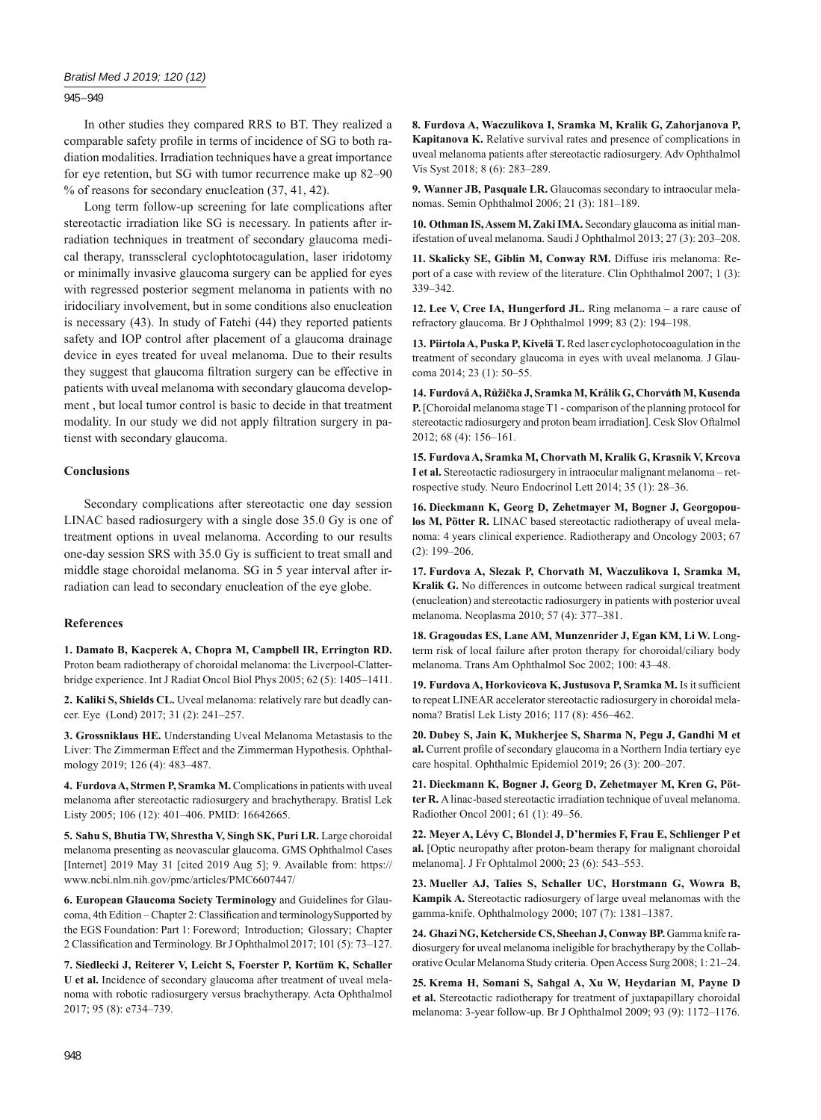## 945 – 949

In other studies they compared RRS to BT. They realized a comparable safety profile in terms of incidence of SG to both radiation modalities. Irradiation techniques have a great importance for eye retention, but SG with tumor recurrence make up 82–90 % of reasons for secondary enucleation (37, 41, 42).

Long term follow-up screening for late complications after stereotactic irradiation like SG is necessary. In patients after irradiation techniques in treatment of secondary glaucoma medical therapy, transscleral cyclophtotocagulation, laser iridotomy or minimally invasive glaucoma surgery can be applied for eyes with regressed posterior segment melanoma in patients with no iridociliary involvement, but in some conditions also enucleation is necessary (43). In study of Fatehi (44) they reported patients safety and IOP control after placement of a glaucoma drainage device in eyes treated for uveal melanoma. Due to their results they suggest that glaucoma filtration surgery can be effective in patients with uveal melanoma with secondary glaucoma development , but local tumor control is basic to decide in that treatment modality. In our study we did not apply filtration surgery in patienst with secondary glaucoma.

## **Conclusions**

Secondary complications after stereotactic one day session LINAC based radiosurgery with a single dose 35.0 Gy is one of treatment options in uveal melanoma. According to our results one-day session SRS with 35.0 Gy is sufficient to treat small and middle stage choroidal melanoma. SG in 5 year interval after irradiation can lead to secondary enucleation of the eye globe.

#### **References**

**1. Damato B, Kacperek A, Chopra M, Campbell IR, Errington RD.** Proton beam radiotherapy of choroidal melanoma: the Liverpool-Clatterbridge experience. Int J Radiat Oncol Biol Phys 2005; 62 (5): 1405–1411.

**2. Kaliki S, Shields CL.** Uveal melanoma: relatively rare but deadly cancer. Eye (Lond) 2017; 31 (2): 241–257.

**3. Grossniklaus HE.** Understanding Uveal Melanoma Metastasis to the Liver: The Zimmerman Effect and the Zimmerman Hypothesis. Ophthalmology 2019; 126 (4): 483–487.

4. Furdova A, Strmen P, Sramka M. Complications in patients with uveal melanoma after stereotactic radiosurgery and brachytherapy. Bratisl Lek Listy 2005; 106 (12): 401–406. PMID: 16642665.

**5. Sahu S, Bhutia TW, Shrestha V, Singh SK, Puri LR.** Large choroidal melanoma presenting as neovascular glaucoma. GMS Ophthalmol Cases [Internet] 2019 May 31 [cited 2019 Aug 5]; 9. Available from: https:// www.ncbi.nlm.nih.gov/pmc/articles/PMC6607447/

**6. European Glaucoma Society Terminology** and Guidelines for Glaucoma, 4th Edition – Chapter 2: Classification and terminologySupported by the EGS Foundation: Part 1: Foreword; Introduction; Glossary; Chapter 2 Classification and Terminology. Br J Ophthalmol 2017; 101 (5): 73-127.

**7. Siedlecki J, Reiterer V, Leicht S, Foerster P, Kortüm K, Schaller U et al.** Incidence of secondary glaucoma after treatment of uveal melanoma with robotic radiosurgery versus brachytherapy. Acta Ophthalmol 2017; 95 (8): e734–739.

**8. Furdova A, Waczulikova I, Sramka M, Kralik G, Zahorjanova P, Kapitanova K.** Relative survival rates and presence of complications in uveal melanoma patients after stereotactic radiosurgery. Adv Ophthalmol Vis Syst 2018; 8 (6): 283–289.

**9. Wanner JB, Pasquale LR.** Glaucomas secondary to intraocular melanomas. Semin Ophthalmol 2006; 21 (3): 181–189.

**10. Othman IS, Assem M, Zaki IMA.** Secondary glaucoma as initial manifestation of uveal melanoma. Saudi J Ophthalmol 2013; 27 (3): 203–208.

**11. Skalicky SE, Giblin M, Conway RM.** Diffuse iris melanoma: Report of a case with review of the literature. Clin Ophthalmol 2007; 1 (3): 339–342.

**12. Lee V, Cree IA, Hungerford JL.** Ring melanoma – a rare cause of refractory glaucoma. Br J Ophthalmol 1999; 83 (2): 194–198.

**13. Piirtola A, Puska P, Kivelä T.** Red laser cyclophotocoagulation in the treatment of secondary glaucoma in eyes with uveal melanoma. J Glaucoma 2014; 23 (1): 50–55.

**14. Furdová A, Růžička J, Sramka M, Králik G, Chorváth M, Kusenda P.** [Choroidal melanoma stage T1 - comparison of the planning protocol for stereotactic radiosurgery and proton beam irradiation]. Cesk Slov Oftalmol 2012; 68 (4): 156–161.

**15. Furdova A, Sramka M, Chorvath M, Kralik G, Krasnik V, Krcova I et al.** Stereotactic radiosurgery in intraocular malignant melanoma – retrospective study. Neuro Endocrinol Lett 2014; 35 (1): 28–36.

**16. Dieckmann K, Georg D, Zehetmayer M, Bogner J, Georgopoulos M, Pötter R.** LINAC based stereotactic radiotherapy of uveal melanoma: 4 years clinical experience. Radiotherapy and Oncology 2003; 67 (2): 199–206.

**17. Furdova A, Slezak P, Chorvath M, Waczulikova I, Sramka M, Kralik G.** No differences in outcome between radical surgical treatment (enucleation) and stereotactic radiosurgery in patients with posterior uveal melanoma. Neoplasma 2010; 57 (4): 377–381.

**18. Gragoudas ES, Lane AM, Munzenrider J, Egan KM, Li W.** Longterm risk of local failure after proton therapy for choroidal/ciliary body melanoma. Trans Am Ophthalmol Soc 2002; 100: 43–48.

19. Furdova A, Horkovicova K, Justusova P, Sramka M. Is it sufficient to repeat LINEAR accelerator stereotactic radiosurgery in choroidal melanoma? Bratisl Lek Listy 2016; 117 (8): 456–462.

**20. Dubey S, Jain K, Mukherjee S, Sharma N, Pegu J, Gandhi M et**  al. Current profile of secondary glaucoma in a Northern India tertiary eye care hospital. Ophthalmic Epidemiol 2019; 26 (3): 200–207.

**21. Dieckmann K, Bogner J, Georg D, Zehetmayer M, Kren G, Pötter R.** A linac-based stereotactic irradiation technique of uveal melanoma. Radiother Oncol 2001; 61 (1): 49–56.

**22. Meyer A, Lévy C, Blondel J, D'hermies F, Frau E, Schlienger P et al.** [Optic neuropathy after proton-beam therapy for malignant choroidal melanoma]. J Fr Ophtalmol 2000; 23 (6): 543–553.

**23. Mueller AJ, Talies S, Schaller UC, Horstmann G, Wowra B, Kampik A.** Stereotactic radiosurgery of large uveal melanomas with the gamma-knife. Ophthalmology 2000; 107 (7): 1381–1387.

**24. Ghazi NG, Ketcherside CS, Sheehan J, Conway BP.** Gamma knife radiosurgery for uveal melanoma ineligible for brachytherapy by the Collaborative Ocular Melanoma Study criteria. Open Access Surg 2008; 1: 21–24.

**25. Krema H, Somani S, Sahgal A, Xu W, Heydarian M, Payne D et al.** Stereotactic radiotherapy for treatment of juxtapapillary choroidal melanoma: 3-year follow-up. Br J Ophthalmol 2009; 93 (9): 1172–1176.